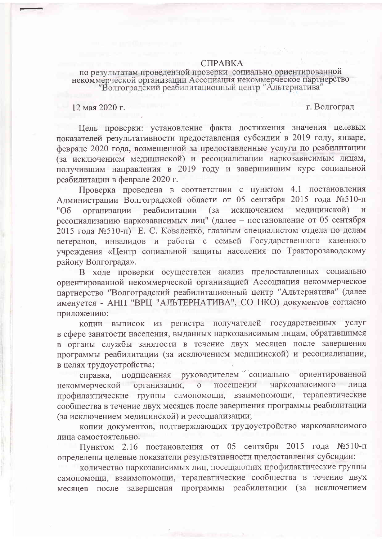## **CITPARKA**

по результатам проведенной проверки социально ориентированной некоммерческой организации Ассоциация некоммерческое партнерство "Волгоградский реабилитационный центр "Альтернатива"

12 мая 2020 г.

г. Волгоград

Цель проверки: установление факта достижения значения целевых показателей результативности предоставления субсидии в 2019 году, январе, феврале 2020 года, возмещенной за предоставленные услуги по реабилитации (за исключением медицинской) и ресоциализации наркозависимым лицам, получившим направления в 2019 году и завершившим курс социальной реабилитации в феврале 2020 г.

Проверка проведена в соответствии с пунктом 4.1 постановления Алминистрации Волгоградской области от 05 сентября 2015 года №510-п реабилитации (за исключением медицинской) организации "06 ресоциализацию наркозависимых лиц" (далее - постановление от 05 сентября 2015 года №510-п) Е. С. Коваленко, главным специалистом отдела по делам ветеранов, инвалидов и работы с семьей Государственного казенного учреждения «Центр социальной защиты населения по Тракторозаводскому району Волгограда».

В ходе проверки осуществлен анализ предоставленных социально ориентированной некоммерческой организацией Ассоциация некоммерческое партнерство "Волгоградский реабилитационный центр "Альтернатива" (далее именуется - АНП "ВРЦ "АЛЬТЕРНАТИВА", СО НКО) документов согласно приложению:

копии выписок из регистра получателей государственных услуг в сфере занятости населения, выданных наркозависимым лицам, обратившимся в органы службы занятости в течение двух месяцев после завершения программы реабилитации (за исключением медицинской) и ресоциализации, в целях трудоустройства;

руководителем социально ориентированной справка. полписанная наркозависимого организации,  $\overline{O}$ посещении лица некоммерческой профилактические группы самопомощи, взаимопомощи, терапевтические сообщества в течение двух месяцев после завершения программы реабилитации (за исключением медицинской) и ресоциализации;

копии документов, подтверждающих трудоустройство наркозависимого лица самостоятельно.

Пунктом 2.16 постановления от 05 сентября 2015 года №510-п определены целевые показатели результативности предоставления субсидии:

количество наркозависимых лиц, посещающих профилактические группы самопомощи, взаимопомощи, терапевтические сообщества в течение двух месяцев после завершения программы реабилитации (за исключением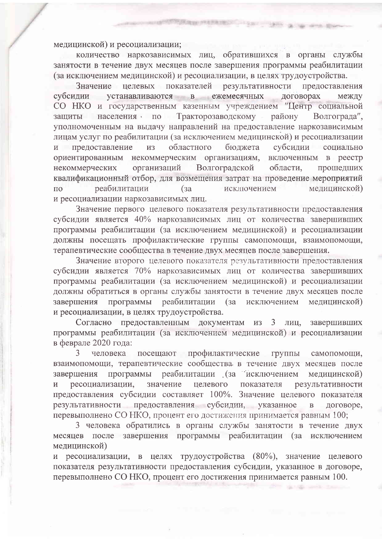медицинской) и ресоциализации;

количество наркозависимых лиц, обратившихся в органы службы занятости в течение двух месяцев после завершения программы реабилитации (за исключением медицинской) и ресоциализации, в целях трудоустройства.

Report Family College - the ca

целевых показателей результативности Значение предоставления устанавливаются в ежемесячных договорах субсилии между СО НКО и государственным казенным учреждением "Центр социальной зашиты населения по Тракторозаводскому району Волгограда". уполномоченным на выдачу направлений на предоставление наркозависимым лицам услуг по реабилитации (за исключением медицинской) и ресоциализации предоставление областного бюджета субсидии  $\overline{M}$ **H3** социально ориентированным некоммерческим организациям, включенным в реестр организаций Волгоградской некоммерческих области. прошедших квалификационный отбор, для возмещения затрат на проведение мероприятий  $\overline{10}$ реабилитации  $(3a)$ исключением медицинской) и ресоциализации наркозависимых лиц.

Значение первого целевого показателя результативности предоставления субсидии является 40% наркозависимых лиц от количества завершивших программы реабилитации (за исключением медицинской) и ресоциализации должны посещать профилактические группы самопомощи, взаимопомощи, терапевтические сообщества в течение двух месяцев после завершения.

Значение второго целевого показателя результативности предоставления субсидии является 70% наркозависимых лиц от количества завершивших программы реабилитации (за исключением медицинской) и ресоциализации должны обратиться в органы службы занятости в течение двух месяцев после завершения программы реабилитации (за исключением медицинской) и ресоциализации, в целях трудоустройства.

Согласно предоставленным документам **H3**  $3<sup>1</sup>$ лиц, завершивших программы реабилитации (за исключением медицинской) и ресоциализации в феврале 2020 года:

 $3<sup>1</sup>$ человека посещают профилактические группы самопомощи, взаимопомощи, терапевтические сообщества в течение двух месяцев после реабилитации (за исключением завершения программы медицинской) ресоциализации, значение целевого показателя результативности предоставления субсидии составляет 100%. Значение целевого показателя результативности предоставления субсидии, указанное договоре,  $\overline{B}$ перевыполнено СО НКО, процент его достижения принимается равным 100;

3 человека обратились в органы службы занятости в течение двух месяцев после завершения программы реабилитации (за исключением медицинской)

и ресоциализации, в целях трудоустройства (80%), значение целевого показателя результативности предоставления субсидии, указанное в договоре, перевыполнено СО НКО, процент его достижения принимается равным 100.